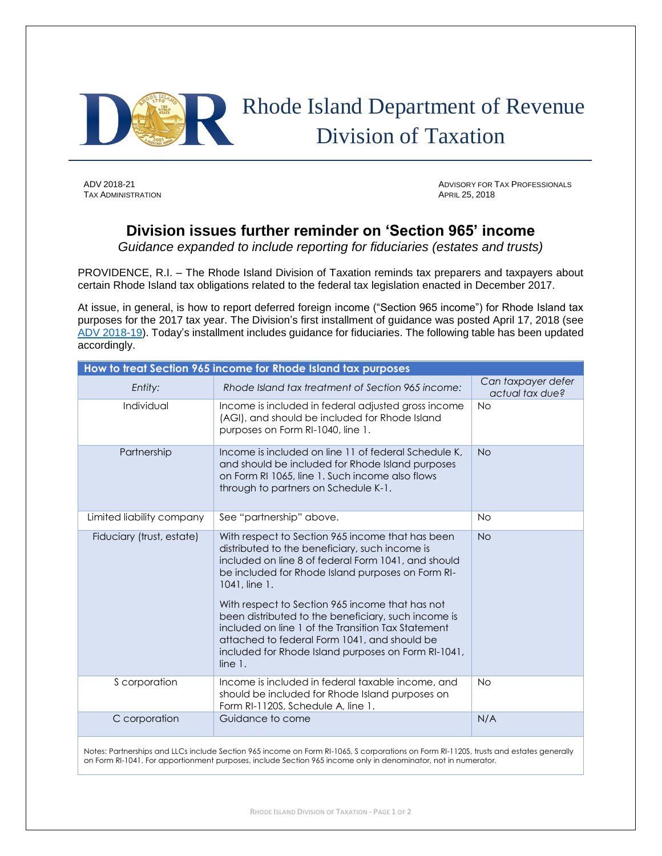

**TAX ADMINISTRATION** 

ADV 2018-21 ADV 2018-21 ADVISORY FOR TAX PROFESSIONALS<br>
TAX ADMINISTRATION

## **Division issues further reminder on 'Section 965' income**

*Guidance expanded to include reporting for fiduciaries (estates and trusts)*

PROVIDENCE, R.I. – The Rhode Island Division of Taxation reminds tax preparers and taxpayers about certain Rhode Island tax obligations related to the federal tax legislation enacted in December 2017.

At issue, in general, is how to report deferred foreign income ("Section 965 income") for Rhode Island tax purposes for the 2017 tax year. The Division's first installment of guidance was posted April 17, 2018 (see [ADV 2018-19\)](http://www.tax.ri.gov/Advisory/ADV_2018_19.pdf). Today's installment includes guidance for fiduciaries. The following table has been updated accordingly.

| How to treat Section 965 income for Rhode Island tax purposes |                                                                                                                                                                                                                                                                                                                                                                                                                                                                                                                   |                                       |
|---------------------------------------------------------------|-------------------------------------------------------------------------------------------------------------------------------------------------------------------------------------------------------------------------------------------------------------------------------------------------------------------------------------------------------------------------------------------------------------------------------------------------------------------------------------------------------------------|---------------------------------------|
| Entity:                                                       | Rhode Island tax treatment of Section 965 income:                                                                                                                                                                                                                                                                                                                                                                                                                                                                 | Can taxpayer defer<br>actual tax due? |
| Individual                                                    | Income is included in federal adjusted gross income<br>(AGI), and should be included for Rhode Island<br>purposes on Form RI-1040, line 1.                                                                                                                                                                                                                                                                                                                                                                        | <b>No</b>                             |
| Partnership                                                   | Income is included on line 11 of federal Schedule K,<br>and should be included for Rhode Island purposes<br>on Form RI 1065, line 1. Such income also flows<br>through to partners on Schedule K-1.                                                                                                                                                                                                                                                                                                               | <b>No</b>                             |
| Limited liability company                                     | See "partnership" above.                                                                                                                                                                                                                                                                                                                                                                                                                                                                                          | <b>No</b>                             |
| Fiduciary (trust, estate)                                     | With respect to Section 965 income that has been<br>distributed to the beneficiary, such income is<br>included on line 8 of federal Form 1041, and should<br>be included for Rhode Island purposes on Form RI-<br>1041, line 1.<br>With respect to Section 965 income that has not<br>been distributed to the beneficiary, such income is<br>included on line 1 of the Transition Tax Statement<br>attached to federal Form 1041, and should be<br>included for Rhode Island purposes on Form RI-1041,<br>line 1. | <b>No</b>                             |
| S corporation                                                 | Income is included in federal taxable income, and<br>should be included for Rhode Island purposes on<br>Form RI-1120S, Schedule A, line 1.                                                                                                                                                                                                                                                                                                                                                                        | <b>No</b>                             |
| C corporation                                                 | Guidance to come                                                                                                                                                                                                                                                                                                                                                                                                                                                                                                  | N/A                                   |

Notes: Partnerships and LLCs include Section 965 income on Form RI-1065, S corporations on Form RI-1120S, trusts and estates generally on Form RI-1041. For apportionment purposes, include Section 965 income only in denominator, not in numerator.